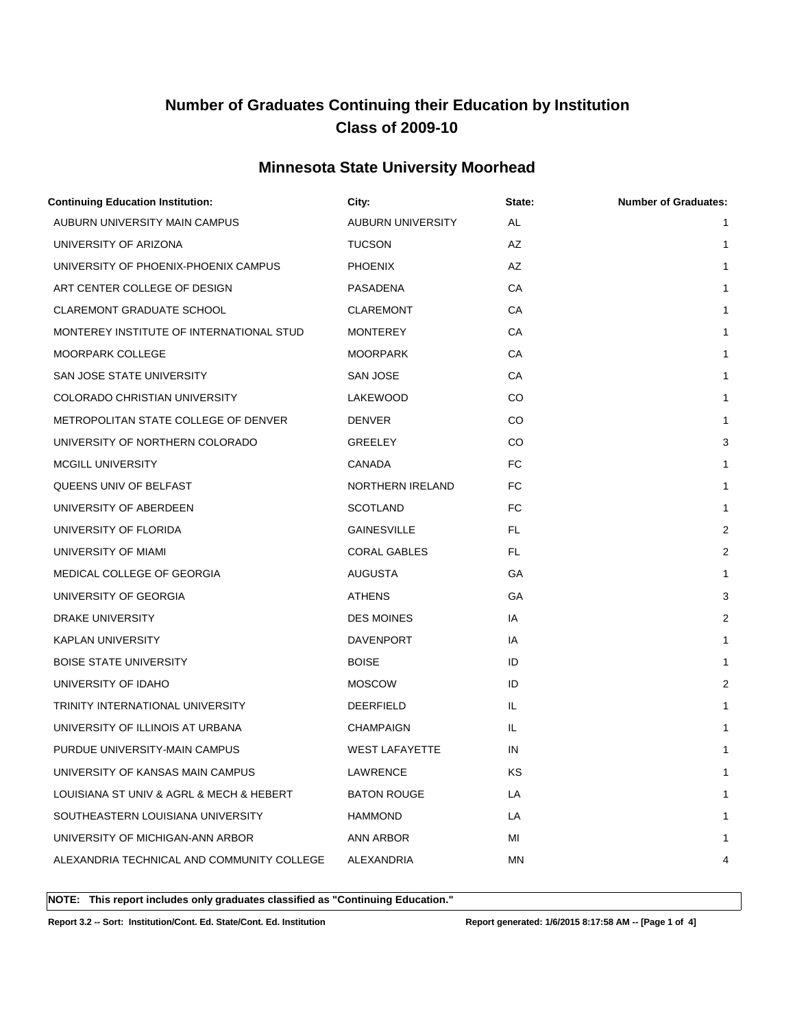## **Minnesota State University Moorhead**

| <b>Continuing Education Institution:</b>   | City:                 | State:    | <b>Number of Graduates:</b> |
|--------------------------------------------|-----------------------|-----------|-----------------------------|
| AUBURN UNIVERSITY MAIN CAMPUS              | AUBURN UNIVERSITY     | AL        | $\mathbf{1}$                |
| UNIVERSITY OF ARIZONA                      | <b>TUCSON</b>         | AZ        | $\mathbf{1}$                |
| UNIVERSITY OF PHOENIX-PHOENIX CAMPUS       | <b>PHOENIX</b>        | AZ        | $\mathbf{1}$                |
| ART CENTER COLLEGE OF DESIGN               | PASADENA              | CA        | $\mathbf{1}$                |
| <b>CLAREMONT GRADUATE SCHOOL</b>           | CLAREMONT             | СA        | 1                           |
| MONTEREY INSTITUTE OF INTERNATIONAL STUD   | <b>MONTEREY</b>       | CA        | 1                           |
| MOORPARK COLLEGE                           | <b>MOORPARK</b>       | СA        | $\mathbf{1}$                |
| SAN JOSE STATE UNIVERSITY                  | <b>SAN JOSE</b>       | CA        | $\mathbf{1}$                |
| COLORADO CHRISTIAN UNIVERSITY              | LAKEWOOD              | CO        | 1                           |
| METROPOLITAN STATE COLLEGE OF DENVER       | <b>DENVER</b>         | CO        | $\mathbf{1}$                |
| UNIVERSITY OF NORTHERN COLORADO            | GREELEY               | CO        | 3                           |
| <b>MCGILL UNIVERSITY</b>                   | CANADA                | <b>FC</b> | $\mathbf{1}$                |
| QUEENS UNIV OF BELFAST                     | NORTHERN IRELAND      | FC.       | $\mathbf{1}$                |
| UNIVERSITY OF ABERDEEN                     | <b>SCOTLAND</b>       | FC        | 1                           |
| UNIVERSITY OF FLORIDA                      | <b>GAINESVILLE</b>    | FL.       | 2                           |
| UNIVERSITY OF MIAMI                        | <b>CORAL GABLES</b>   | FL.       | 2                           |
| MEDICAL COLLEGE OF GEORGIA                 | <b>AUGUSTA</b>        | GА        | $\mathbf{1}$                |
| UNIVERSITY OF GEORGIA                      | <b>ATHENS</b>         | GA        | 3                           |
| DRAKE UNIVERSITY                           | <b>DES MOINES</b>     | IA        | 2                           |
| <b>KAPLAN UNIVERSITY</b>                   | DAVENPORT             | IA        | $\mathbf{1}$                |
| <b>BOISE STATE UNIVERSITY</b>              | <b>BOISE</b>          | ID        | 1                           |
| UNIVERSITY OF IDAHO                        | <b>MOSCOW</b>         | ID        | 2                           |
| TRINITY INTERNATIONAL UNIVERSITY           | <b>DEERFIELD</b>      | IL        | 1                           |
| UNIVERSITY OF ILLINOIS AT URBANA           | <b>CHAMPAIGN</b>      | IL.       | $\mathbf{1}$                |
| PURDUE UNIVERSITY-MAIN CAMPUS              | <b>WEST LAFAYETTE</b> | IN        | 1                           |
| UNIVERSITY OF KANSAS MAIN CAMPUS           | LAWRENCE              | ΚS        | 1                           |
| LOUISIANA ST UNIV & AGRL & MECH & HEBERT   | <b>BATON ROUGE</b>    | LA        | 1                           |
| SOUTHEASTERN LOUISIANA UNIVERSITY          | <b>HAMMOND</b>        | LA        |                             |
| UNIVERSITY OF MICHIGAN-ANN ARBOR           | ANN ARBOR             | MI        | 1                           |
| ALEXANDRIA TECHNICAL AND COMMUNITY COLLEGE | ALEXANDRIA            | ΜN        | 4                           |
|                                            |                       |           |                             |

**NOTE: This report includes only graduates classified as "Continuing Education."** 

**Report 3.2 -- Sort: Institution/Cont. Ed. State/Cont. Ed. Institution Report generated: 1/6/2015 8:17:58 AM -- [Page 1 of 4]**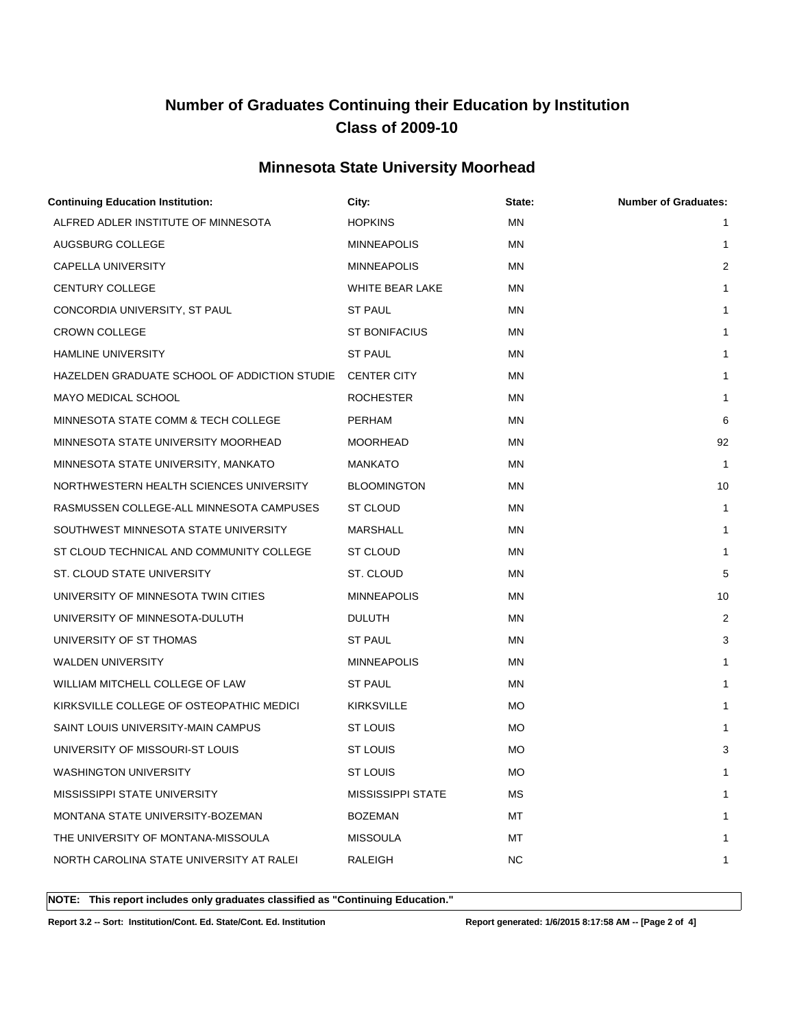## **Minnesota State University Moorhead**

| <b>Continuing Education Institution:</b>     | City:                    | State:    | <b>Number of Graduates:</b> |
|----------------------------------------------|--------------------------|-----------|-----------------------------|
| ALFRED ADLER INSTITUTE OF MINNESOTA          | <b>HOPKINS</b>           | ΜN        | $\mathbf{1}$                |
| AUGSBURG COLLEGE                             | <b>MINNEAPOLIS</b>       | ΜN        | 1                           |
| CAPELLA UNIVERSITY                           | <b>MINNEAPOLIS</b>       | ΜN        | $\sqrt{2}$                  |
| <b>CENTURY COLLEGE</b>                       | WHITE BEAR LAKE          | ΜN        | 1                           |
| CONCORDIA UNIVERSITY, ST PAUL                | <b>ST PAUL</b>           | ΜN        | 1                           |
| <b>CROWN COLLEGE</b>                         | <b>ST BONIFACIUS</b>     | MN        | 1                           |
| <b>HAMLINE UNIVERSITY</b>                    | <b>ST PAUL</b>           | ΜN        | 1                           |
| HAZELDEN GRADUATE SCHOOL OF ADDICTION STUDIE | <b>CENTER CITY</b>       | ΜN        | 1                           |
| MAYO MEDICAL SCHOOL                          | <b>ROCHESTER</b>         | MN        | $\mathbf{1}$                |
| MINNESOTA STATE COMM & TECH COLLEGE          | PERHAM                   | MN        | 6                           |
| MINNESOTA STATE UNIVERSITY MOORHEAD          | <b>MOORHEAD</b>          | ΜN        | 92                          |
| MINNESOTA STATE UNIVERSITY, MANKATO          | <b>MANKATO</b>           | ΜN        | $\mathbf{1}$                |
| NORTHWESTERN HEALTH SCIENCES UNIVERSITY      | <b>BLOOMINGTON</b>       | ΜN        | 10                          |
| RASMUSSEN COLLEGE-ALL MINNESOTA CAMPUSES     | ST CLOUD                 | ΜN        | 1                           |
| SOUTHWEST MINNESOTA STATE UNIVERSITY         | <b>MARSHALL</b>          | ΜN        | $\mathbf{1}$                |
| ST CLOUD TECHNICAL AND COMMUNITY COLLEGE     | ST CLOUD                 | ΜN        | 1                           |
| ST. CLOUD STATE UNIVERSITY                   | ST. CLOUD                | ΜN        | 5                           |
| UNIVERSITY OF MINNESOTA TWIN CITIES          | <b>MINNEAPOLIS</b>       | ΜN        | 10                          |
| UNIVERSITY OF MINNESOTA-DULUTH               | <b>DULUTH</b>            | ΜN        | 2                           |
| UNIVERSITY OF ST THOMAS                      | <b>ST PAUL</b>           | ΜN        | 3                           |
| <b>WALDEN UNIVERSITY</b>                     | <b>MINNEAPOLIS</b>       | MN        | 1                           |
| WILLIAM MITCHELL COLLEGE OF LAW              | <b>ST PAUL</b>           | ΜN        | 1                           |
| KIRKSVILLE COLLEGE OF OSTEOPATHIC MEDICI     | <b>KIRKSVILLE</b>        | MO.       | 1                           |
| SAINT LOUIS UNIVERSITY-MAIN CAMPUS           | ST LOUIS                 | <b>MO</b> | $\mathbf{1}$                |
| UNIVERSITY OF MISSOURI-ST LOUIS              | <b>ST LOUIS</b>          | МO        | 3                           |
| WASHINGTON UNIVERSITY                        | <b>ST LOUIS</b>          | МO        | 1                           |
| MISSISSIPPI STATE UNIVERSITY                 | <b>MISSISSIPPI STATE</b> | MS        | 1                           |
| MONTANA STATE UNIVERSITY-BOZEMAN             | <b>BOZEMAN</b>           | МT        |                             |
| THE UNIVERSITY OF MONTANA-MISSOULA           | <b>MISSOULA</b>          | МT        | 1                           |
| NORTH CAROLINA STATE UNIVERSITY AT RALEI     | RALEIGH                  | NC.       | 1                           |
|                                              |                          |           |                             |

**NOTE: This report includes only graduates classified as "Continuing Education."** 

**Report 3.2 -- Sort: Institution/Cont. Ed. State/Cont. Ed. Institution Report generated: 1/6/2015 8:17:58 AM -- [Page 2 of 4]**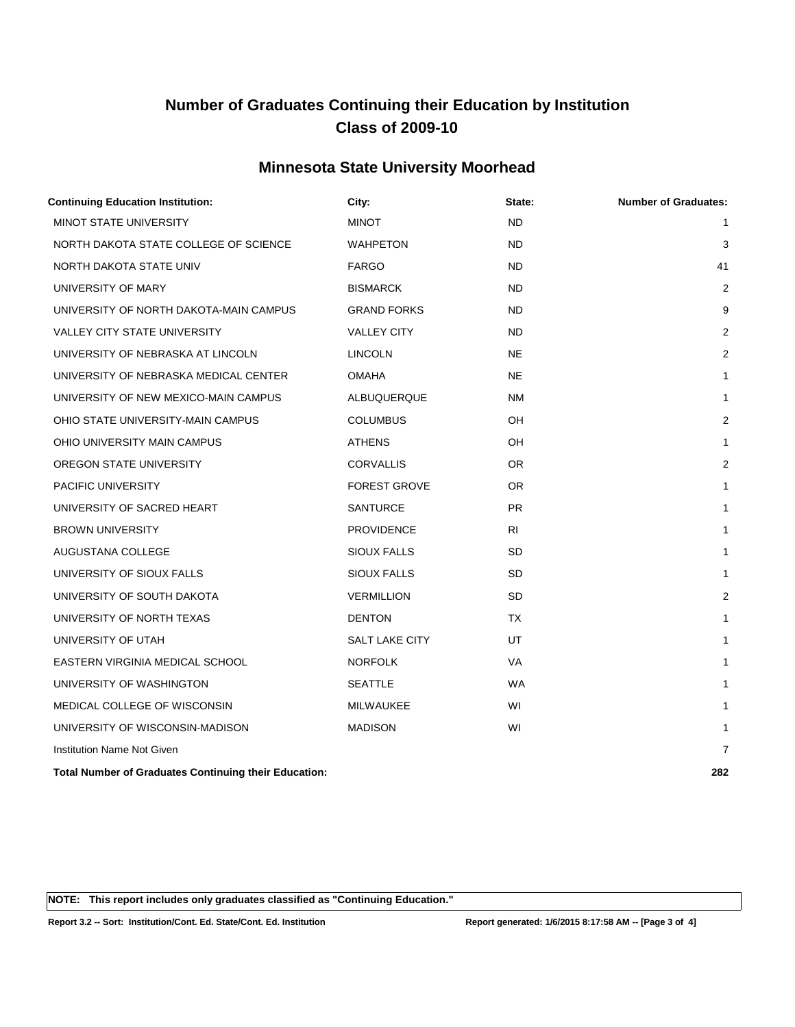## **Minnesota State University Moorhead**

| City:               | State:    | <b>Number of Graduates:</b> |
|---------------------|-----------|-----------------------------|
| <b>MINOT</b>        | <b>ND</b> | 1                           |
| <b>WAHPETON</b>     | <b>ND</b> | 3                           |
| <b>FARGO</b>        | <b>ND</b> | 41                          |
| <b>BISMARCK</b>     | <b>ND</b> | $\overline{2}$              |
| <b>GRAND FORKS</b>  | ND        | 9                           |
| <b>VALLEY CITY</b>  | <b>ND</b> | $\overline{2}$              |
| <b>LINCOLN</b>      | <b>NE</b> | $\overline{2}$              |
| <b>OMAHA</b>        | <b>NE</b> | 1                           |
| ALBUQUERQUE         | NM        | 1                           |
| <b>COLUMBUS</b>     | OH        | $\overline{2}$              |
| <b>ATHENS</b>       | OH        | 1                           |
| <b>CORVALLIS</b>    | OR.       | $\overline{2}$              |
| <b>FOREST GROVE</b> | <b>OR</b> | 1                           |
| <b>SANTURCE</b>     | <b>PR</b> | 1                           |
| PROVIDENCE          | <b>RI</b> | 1                           |
| SIOUX FALLS         | <b>SD</b> | 1                           |
| SIOUX FALLS         | <b>SD</b> | 1                           |
| <b>VERMILLION</b>   | <b>SD</b> | $\overline{2}$              |
| <b>DENTON</b>       | <b>TX</b> | $\mathbf{1}$                |
| SALT LAKE CITY      | UT        | 1                           |
| <b>NORFOLK</b>      | <b>VA</b> | 1                           |
| <b>SEATTLE</b>      | <b>WA</b> | 1                           |
| MILWAUKEE           | WI        | 1                           |
| <b>MADISON</b>      | WI        | $\mathbf{1}$                |
|                     |           | $\overline{7}$              |
|                     |           | 282                         |
|                     |           |                             |

**NOTE: This report includes only graduates classified as "Continuing Education."** 

**Report 3.2 -- Sort: Institution/Cont. Ed. State/Cont. Ed. Institution Report generated: 1/6/2015 8:17:58 AM -- [Page 3 of 4]**